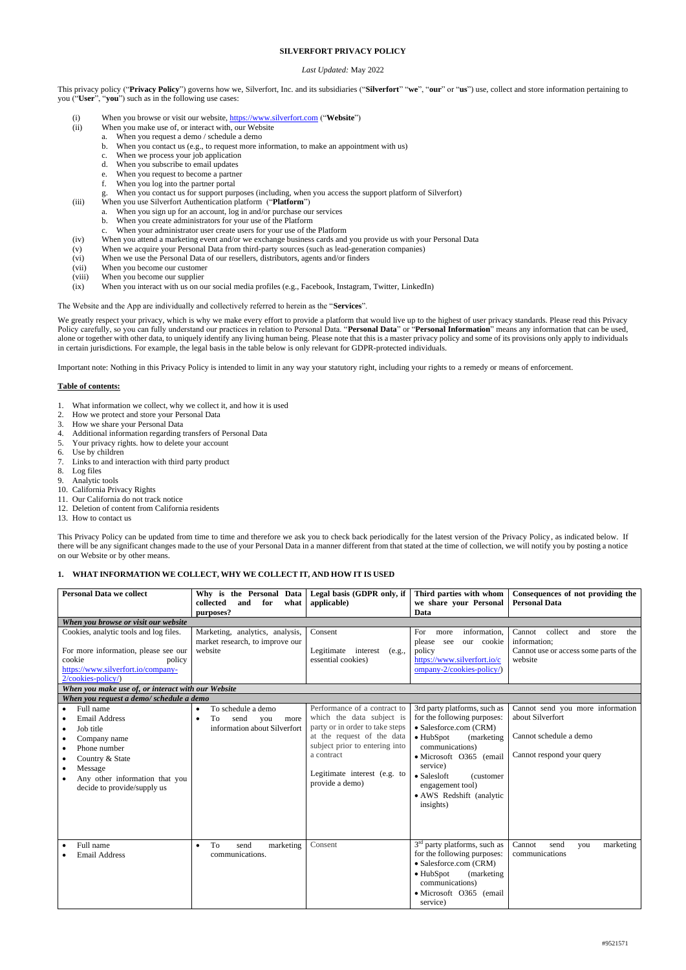### **SILVERFORT PRIVACY POLICY**

### *Last Updated:* May 2022

This privacy policy ("**Privacy Policy**") governs how we, Silverfort, Inc. and its subsidiaries ("**Silverfort**" "**we**", "**our**" or "**us**") use, collect and store information pertaining to you ("**User**", "**you**") such as in the following use cases:

- (i) When you browse or visit our website, [https://www.silverfort.com](https://www.silverfort.com/) ("**Website**")
- (ii) When you make use of, or interact with, our Website
	- a. When you request a demo / schedule a demo
	- b. When you contact us (e.g., to request more information, to make an appointment with us)
	- c. When we process your job application
	- d. When you subscribe to email updates
	- e. When you request to become a partner
	- f. When you log into the partner portal
	- g. When you contact us for support purposes (including, when you access the support platform of Silverfort)
- (iii) When you use Silverfort Authentication platform ("**Platform**")
	- a. When you sign up for an account, log in and/or purchase our services
	- b. When you create administrators for your use of the Platform
	- c. When your administrator user create users for your use of the Platform
- (iv) When you attend a marketing event and/or we exchange business cards and you provide us with your Personal Data
- (v) When we acquire your Personal Data from third-party sources (such as lead-generation companies)
- (vi) When we use the Personal Data of our resellers, distributors, agents and/or finders
- (vii) When you become our customer
- (viii) When you become our supplier
- (ix) When you interact with us on our social media profiles (e.g., Facebook, Instagram, Twitter, LinkedIn)

We greatly respect your privacy, which is why we make every effort to provide a platform that would live up to the highest of user privacy standards. Please read this Privacy Policy carefully, so you can fully understand our practices in relation to Personal Data. "**Personal Data**" or "**Personal Information**" means any information that can be used, alone or together with other data, to uniquely identify any living human being. Please note that this is a master privacy policy and some of its provisions only apply to individuals in certain jurisdictions. For example, the legal basis in the table below is only relevant for GDPR-protected individuals.

The Website and the App are individually and collectively referred to herein as the "**Services**".

Important note: Nothing in this Privacy Policy is intended to limit in any way your statutory right, including your rights to a remedy or means of enforcement.

## **Table of contents:**

- 1. What information we collect, why we collect it, and how it is used
- 2. How we protect and store your Personal Data
- 3. How we share your Personal Data
- 4. Additional information regarding transfers of Personal Data
- 5. Your privacy rights. how to delete your account
- 6. Use by children
- 7. Links to and interaction with third party product
- 8. Log files
- 9. Analytic tools
- 10. California Privacy Rights
- 11. Our California do not track notice
- 12. Deletion of content from California residents
- 13. How to contact us

This Privacy Policy can be updated from time to time and therefore we ask you to check back periodically for the latest version of the Privacy Policy, as indicated below. If there will be any significant changes made to the use of your Personal Data in a manner different from that stated at the time of collection, we will notify you by posting a notice on our Website or by other means.

## **1. WHAT INFORMATION WE COLLECT, WHY WE COLLECT IT, AND HOW IT IS USED**

| <b>Personal Data we collect</b>                                                                                                                                                                                   | Why is the Personal Data   Legal basis (GDPR only, if<br>collected<br>what<br>and<br>for | applicable)                                                                                                                                                                                                                   | Third parties with whom<br>we share your Personal                                                                                                                                                                                                                             | Consequences of not providing the<br><b>Personal Data</b>                                                   |
|-------------------------------------------------------------------------------------------------------------------------------------------------------------------------------------------------------------------|------------------------------------------------------------------------------------------|-------------------------------------------------------------------------------------------------------------------------------------------------------------------------------------------------------------------------------|-------------------------------------------------------------------------------------------------------------------------------------------------------------------------------------------------------------------------------------------------------------------------------|-------------------------------------------------------------------------------------------------------------|
| When you browse or visit our website                                                                                                                                                                              | purposes?                                                                                |                                                                                                                                                                                                                               | Data                                                                                                                                                                                                                                                                          |                                                                                                             |
| Cookies, analytic tools and log files.<br>For more information, please see our                                                                                                                                    | Marketing, analytics, analysis,<br>market research, to improve our<br>website            | Consent<br>Legitimate interest<br>(e.g.,                                                                                                                                                                                      | information,<br>For<br>more<br>please see<br>our cookie<br>policy                                                                                                                                                                                                             | collect<br>Cannot<br>the<br>and<br>store<br>information;<br>Cannot use or access some parts of the          |
| cookie<br>policy<br>https://www.silverfort.io/company-<br>2/cookies-policy/)                                                                                                                                      |                                                                                          | essential cookies)                                                                                                                                                                                                            | https://www.silverfort.io/c<br>ompany-2/cookies-policy/)                                                                                                                                                                                                                      | website                                                                                                     |
| When you make use of, or interact with our Website                                                                                                                                                                |                                                                                          |                                                                                                                                                                                                                               |                                                                                                                                                                                                                                                                               |                                                                                                             |
| When you request a demo/ schedule a demo                                                                                                                                                                          |                                                                                          |                                                                                                                                                                                                                               |                                                                                                                                                                                                                                                                               |                                                                                                             |
| Full name<br><b>Email Address</b><br>Job title<br>$\bullet$<br>Company name<br>٠<br>Phone number<br>$\bullet$<br>Country & State<br>Message<br>٠<br>Any other information that you<br>decide to provide/supply us | To schedule a demo<br>To<br>send<br>you<br>more<br>information about Silverfort          | Performance of a contract to<br>which the data subject is<br>party or in order to take steps<br>at the request of the data<br>subject prior to entering into<br>a contract<br>Legitimate interest (e.g. to<br>provide a demo) | 3rd party platforms, such as<br>for the following purposes:<br>• Salesforce.com (CRM)<br>$\bullet$ HubSpot<br>(marketing)<br>communications)<br>· Microsoft O365 (email<br>service)<br>• Salesloft<br>(customer)<br>engagement tool)<br>• AWS Redshift (analytic<br>insights) | Cannot send you more information<br>about Silverfort<br>Cannot schedule a demo<br>Cannot respond your query |
| Full name<br><b>Email Address</b>                                                                                                                                                                                 | To<br>send<br>marketing<br>$\bullet$<br>communications.                                  | Consent                                                                                                                                                                                                                       | 3 <sup>rd</sup> party platforms, such as<br>for the following purposes:<br>• Salesforce.com (CRM)<br>$\bullet$ HubSpot<br>(marketing)<br>communications)<br>· Microsoft O365 (email<br>service)                                                                               | Cannot<br>marketing<br>send<br>you<br>communications                                                        |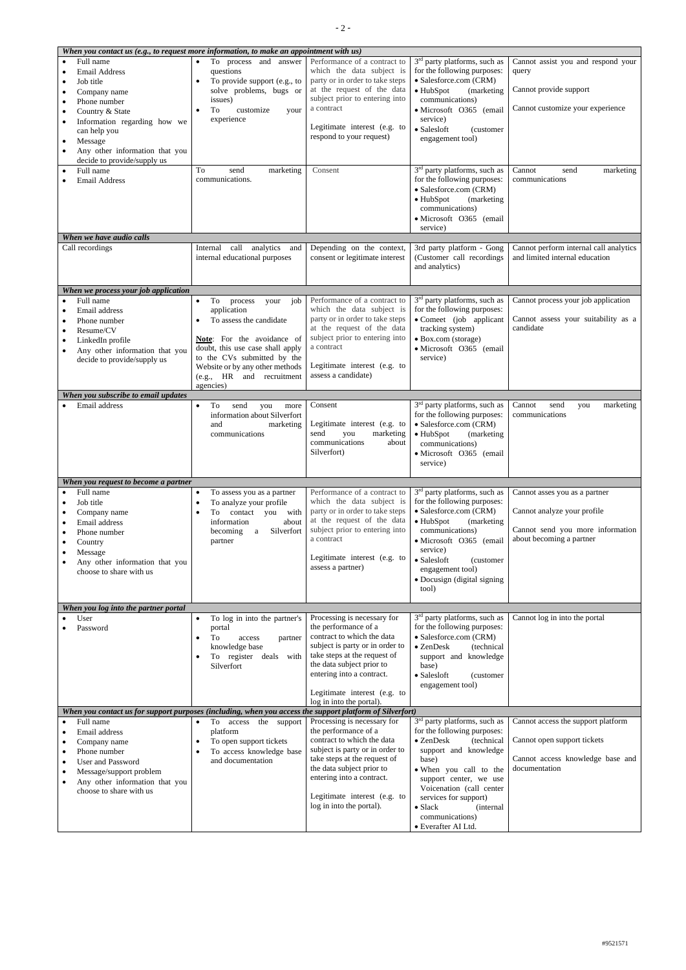| When you contact us (e.g., to request more information, to make an appointment with us)                                                                                                                                                                                                         |                                                                                                                                                                                                                                                                   |                                                                                                                                                                                                                                                                            |                                                                                                                                                                                                                                                                                                                                         |                                                                                                                              |  |  |  |
|-------------------------------------------------------------------------------------------------------------------------------------------------------------------------------------------------------------------------------------------------------------------------------------------------|-------------------------------------------------------------------------------------------------------------------------------------------------------------------------------------------------------------------------------------------------------------------|----------------------------------------------------------------------------------------------------------------------------------------------------------------------------------------------------------------------------------------------------------------------------|-----------------------------------------------------------------------------------------------------------------------------------------------------------------------------------------------------------------------------------------------------------------------------------------------------------------------------------------|------------------------------------------------------------------------------------------------------------------------------|--|--|--|
| Full name<br><b>Email Address</b><br>Job title<br>Company name<br>Phone number<br>Country & State<br>$\bullet$<br>Information regarding how we<br>$\bullet$<br>can help you<br>Message<br>$\bullet$<br>Any other information that you<br>$\bullet$<br>decide to provide/supply us               | To process and answer<br>$\bullet$<br>questions<br>To provide support (e.g., to<br>$\bullet$<br>solve problems, bugs or<br>issues)<br>To<br>customize<br>your<br>experience                                                                                       | Performance of a contract to<br>which the data subject is<br>party or in order to take steps<br>at the request of the data<br>subject prior to entering into<br>a contract<br>Legitimate interest (e.g. to<br>respond to your request)                                     | 3 <sup>rd</sup> party platforms, such as<br>for the following purposes:<br>· Salesforce.com (CRM)<br>$\bullet$ HubSpot<br>(marketing)<br>communications)<br>· Microsoft O365 (email<br>service)<br>$\bullet$ Salesloft<br>(customer<br>engagement tool)                                                                                 | Cannot assist you and respond your<br>query<br>Cannot provide support<br>Cannot customize your experience                    |  |  |  |
| Full name<br><b>Email Address</b>                                                                                                                                                                                                                                                               | To<br>send<br>marketing<br>communications.                                                                                                                                                                                                                        | Consent                                                                                                                                                                                                                                                                    | 3 <sup>rd</sup> party platforms, such as<br>for the following purposes:<br>• Salesforce.com (CRM)<br>$\bullet$ HubSpot<br>(marketing<br>communications)<br>· Microsoft O365 (email<br>service)                                                                                                                                          | Cannot<br>send<br>marketing<br>communications                                                                                |  |  |  |
| When we have audio calls                                                                                                                                                                                                                                                                        |                                                                                                                                                                                                                                                                   |                                                                                                                                                                                                                                                                            |                                                                                                                                                                                                                                                                                                                                         |                                                                                                                              |  |  |  |
| Call recordings                                                                                                                                                                                                                                                                                 | call<br>analytics<br>Internal<br>and<br>internal educational purposes                                                                                                                                                                                             | Depending on the context,<br>consent or legitimate interest                                                                                                                                                                                                                | 3rd party platform - Gong<br>(Customer call recordings)<br>and analytics)                                                                                                                                                                                                                                                               | Cannot perform internal call analytics<br>and limited internal education                                                     |  |  |  |
| When we process your job application<br>Full name<br>Email address<br>Phone number<br>Resume/CV<br>$\bullet$<br>LinkedIn profile<br>Any other information that you<br>$\bullet$<br>decide to provide/supply us                                                                                  | To<br>job<br>process<br>your<br>$\bullet$<br>application<br>To assess the candidate<br>Note: For the avoidance of<br>doubt, this use case shall apply<br>to the CVs submitted by the<br>Website or by any other methods<br>(e.g., HR and recruitment<br>agencies) | Performance of a contract to<br>which the data subject is<br>party or in order to take steps<br>at the request of the data<br>subject prior to entering into<br>a contract<br>Legitimate interest (e.g. to<br>assess a candidate)                                          | 3 <sup>rd</sup> party platforms, such as<br>for the following purposes:<br>• Comeet (job applicant<br>tracking system)<br>• Box.com (storage)<br>· Microsoft O365 (email<br>service)                                                                                                                                                    | Cannot process your job application<br>Cannot assess your suitability as a<br>candidate                                      |  |  |  |
| When you subscribe to email updates                                                                                                                                                                                                                                                             |                                                                                                                                                                                                                                                                   |                                                                                                                                                                                                                                                                            |                                                                                                                                                                                                                                                                                                                                         |                                                                                                                              |  |  |  |
| Email address                                                                                                                                                                                                                                                                                   | To<br>$\bullet$<br>send<br>you<br>more<br>information about Silverfort<br>and<br>marketing<br>communications                                                                                                                                                      | Consent<br>Legitimate interest (e.g. to<br>send<br>you<br>marketing<br>communications<br>about<br>Silverfort)                                                                                                                                                              | $3rd$ party platforms, such as<br>for the following purposes:<br>· Salesforce.com (CRM)<br>$\bullet$ HubSpot<br>(marketing<br>communications)<br>· Microsoft O365 (email<br>service)                                                                                                                                                    | marketing<br>Cannot<br>send<br>you<br>communications                                                                         |  |  |  |
| When you request to become a partner                                                                                                                                                                                                                                                            |                                                                                                                                                                                                                                                                   |                                                                                                                                                                                                                                                                            |                                                                                                                                                                                                                                                                                                                                         |                                                                                                                              |  |  |  |
| Full name<br>Job title<br>Company name<br>Email address<br>Phone number<br>Country<br>Message<br>Any other information that you<br>choose to share with us                                                                                                                                      | To assess you as a partner<br>$\bullet$<br>To analyze your profile<br>To<br>contact you with<br>information<br>about<br>becoming<br>Silverfort<br>$\rm{a}$<br>partner                                                                                             | Performance of a contract to<br>which the data subject is<br>party or in order to take steps<br>at the request of the data<br>subject prior to entering into<br>a contract<br>Legitimate interest (e.g. to<br>assess a partner)                                            | 3 <sup>rd</sup> party platforms, such as<br>for the following purposes:<br>• Salesforce.com (CRM)<br>$\bullet$ HubSpot<br>(marketing<br>communications)<br>· Microsoft O365 (email<br>service)<br>• Salesloft<br>(customer)<br>engagement tool)<br>• Docusign (digital signing<br>tool)                                                 | Cannot asses you as a partner<br>Cannot analyze your profile<br>Cannot send you more information<br>about becoming a partner |  |  |  |
| When you log into the partner portal                                                                                                                                                                                                                                                            |                                                                                                                                                                                                                                                                   |                                                                                                                                                                                                                                                                            |                                                                                                                                                                                                                                                                                                                                         |                                                                                                                              |  |  |  |
| User<br>Password                                                                                                                                                                                                                                                                                | To log in into the partner's<br>$\bullet$<br>portal<br>To<br>access<br>partner<br>knowledge base<br>register<br>deals with<br>To<br>Silverfort                                                                                                                    | Processing is necessary for<br>the performance of a<br>contract to which the data<br>subject is party or in order to<br>take steps at the request of<br>the data subject prior to<br>entering into a contract.<br>Legitimate interest (e.g. to                             | 3 <sup>rd</sup> party platforms, such as<br>for the following purposes:<br>• Salesforce.com (CRM)<br>$\bullet$ ZenDesk<br>(technical<br>support and knowledge<br>base)<br>• Salesloft<br>(customer)<br>engagement tool)                                                                                                                 | Cannot log in into the portal                                                                                                |  |  |  |
|                                                                                                                                                                                                                                                                                                 |                                                                                                                                                                                                                                                                   | log in into the portal).                                                                                                                                                                                                                                                   |                                                                                                                                                                                                                                                                                                                                         |                                                                                                                              |  |  |  |
| When you contact us for support purposes (including, when you access the support platform of Silverfort)<br>Full name<br>Email address<br>Company name<br>Phone number<br>٠<br><b>User and Password</b><br>Message/support problem<br>Any other information that you<br>choose to share with us | the support<br>To<br>access<br>$\bullet$<br>platform<br>To open support tickets<br>To access knowledge base<br>and documentation                                                                                                                                  | Processing is necessary for<br>the performance of a<br>contract to which the data<br>subject is party or in order to<br>take steps at the request of<br>the data subject prior to<br>entering into a contract.<br>Legitimate interest (e.g. to<br>log in into the portal). | 3 <sup>rd</sup> party platforms, such as<br>for the following purposes:<br>$\bullet$ ZenDesk<br>(technical<br>support and knowledge<br>base)<br>. When you call to the<br>support center, we use<br>Voicenation (call center<br>services for support)<br>$\bullet$ Slack<br><i>(internal)</i><br>communications)<br>· Everafter AI Ltd. | Cannot access the support platform<br>Cannot open support tickets<br>Cannot access knowledge base and<br>documentation       |  |  |  |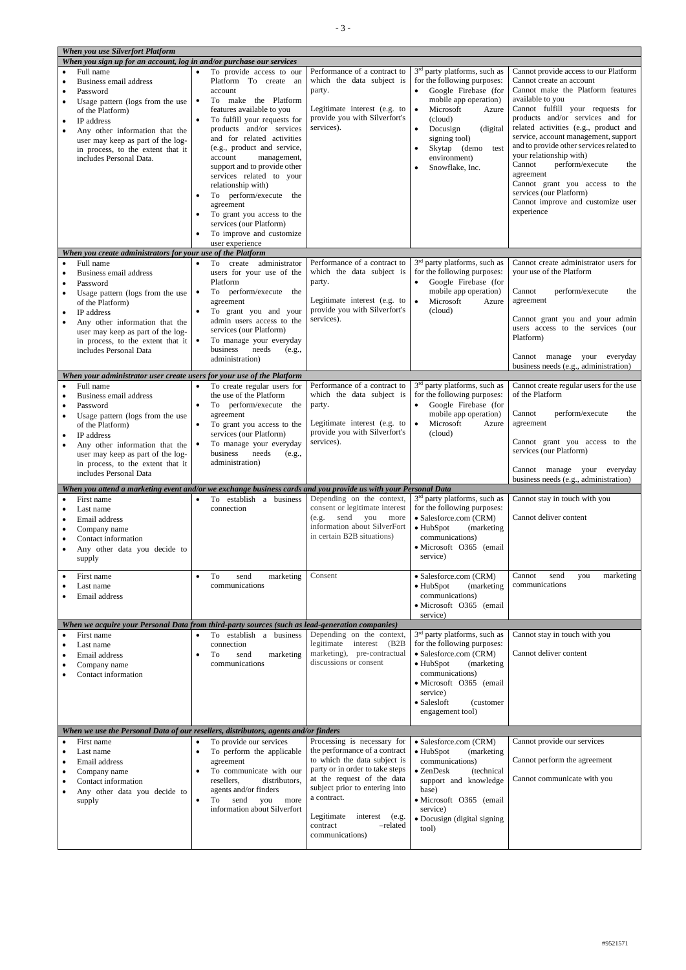| When you use Silverfort Platform                                                                               |                                                                     |                                                               |                                          |                                          |
|----------------------------------------------------------------------------------------------------------------|---------------------------------------------------------------------|---------------------------------------------------------------|------------------------------------------|------------------------------------------|
| When you sign up for an account, log in and/or purchase our services                                           |                                                                     |                                                               |                                          |                                          |
| Full name                                                                                                      |                                                                     | Performance of a contract to                                  | 3 <sup>rd</sup> party platforms, such as | Cannot provide access to our Platform    |
|                                                                                                                | To provide access to our<br>$\bullet$                               | which the data subject is                                     | for the following purposes:              | Cannot create an account                 |
| Business email address                                                                                         | Platform To create an                                               |                                                               |                                          |                                          |
| Password                                                                                                       | account                                                             | party.                                                        | Google Firebase (for                     | Cannot make the Platform features        |
| Usage pattern (logs from the use                                                                               | To make the Platform<br>$\bullet$                                   |                                                               | mobile app operation)                    | available to you                         |
| of the Platform)                                                                                               | features available to you                                           | Legitimate interest (e.g. to                                  | Microsoft<br>$\bullet$<br>Azure          | Cannot fulfill your requests for         |
| IP address                                                                                                     | To fulfill your requests for                                        | provide you with Silverfort's                                 | (cloud)                                  | products and/or services and for         |
| Any other information that the                                                                                 | products and/or services                                            | services).                                                    | (digital)<br>Docusign                    | related activities (e.g., product and    |
| user may keep as part of the log-                                                                              | and for related activities                                          |                                                               | signing tool)                            | service, account management, support     |
| in process, to the extent that it                                                                              | (e.g., product and service,                                         |                                                               | Skytap (demo<br>test                     | and to provide other services related to |
| includes Personal Data.                                                                                        | account<br>management,                                              |                                                               | environment)                             | your relationship with)                  |
|                                                                                                                | support and to provide other                                        |                                                               | Snowflake, Inc.                          | Cannot<br>perform/execute<br>the         |
|                                                                                                                | services related to your                                            |                                                               |                                          | agreement                                |
|                                                                                                                | relationship with)                                                  |                                                               |                                          | Cannot grant you access to the           |
|                                                                                                                | To perform/execute the<br>$\bullet$                                 |                                                               |                                          | services (our Platform)                  |
|                                                                                                                | agreement                                                           |                                                               |                                          | Cannot improve and customize user        |
|                                                                                                                | To grant you access to the<br>$\bullet$                             |                                                               |                                          | experience                               |
|                                                                                                                | services (our Platform)                                             |                                                               |                                          |                                          |
|                                                                                                                | To improve and customize                                            |                                                               |                                          |                                          |
|                                                                                                                | user experience                                                     |                                                               |                                          |                                          |
| When you create administrators for your use of the Platform                                                    |                                                                     |                                                               |                                          |                                          |
| Full name                                                                                                      | administrator<br>To<br>create<br>$\bullet$                          | Performance of a contract to                                  | 3 <sup>rd</sup> party platforms, such as | Cannot create administrator users for    |
| Business email address                                                                                         | users for your use of the                                           | which the data subject is                                     | for the following purposes:              | your use of the Platform                 |
|                                                                                                                | Platform                                                            | party.                                                        | Google Firebase (for                     |                                          |
| Password                                                                                                       | perform/execute the<br>To                                           |                                                               | mobile app operation)                    | Cannot<br>perform/execute<br>the         |
| Usage pattern (logs from the use                                                                               | $\bullet$                                                           | Legitimate interest (e.g. to                                  | Microsoft<br>$\bullet$<br>Azure          | agreement                                |
| of the Platform)                                                                                               | agreement                                                           | provide you with Silverfort's                                 | (cloud)                                  |                                          |
| IP address                                                                                                     | To grant you and your<br>$\bullet$                                  | services).                                                    |                                          | Cannot grant you and your admin          |
| Any other information that the                                                                                 | admin users access to the                                           |                                                               |                                          | users access to the services (our        |
| user may keep as part of the log-                                                                              | services (our Platform)                                             |                                                               |                                          | Platform)                                |
| in process, to the extent that it                                                                              | To manage your everyday                                             |                                                               |                                          |                                          |
| includes Personal Data                                                                                         | business<br>needs<br>(e.g.,                                         |                                                               |                                          | Cannot manage your everyday              |
|                                                                                                                | administration)                                                     |                                                               |                                          | business needs (e.g., administration)    |
| When your administrator user create users for your use of the Platform                                         |                                                                     |                                                               |                                          |                                          |
| Full name                                                                                                      |                                                                     | Performance of a contract to                                  | 3 <sup>rd</sup> party platforms, such as | Cannot create regular users for the use  |
|                                                                                                                | To create regular users for<br>$\bullet$<br>the use of the Platform | which the data subject is                                     | for the following purposes:              | of the Platform                          |
| Business email address                                                                                         |                                                                     |                                                               |                                          |                                          |
| Password                                                                                                       | To perform/execute<br>the<br>$\bullet$                              | party.                                                        | Google Firebase (for<br>$\bullet$        | Cannot<br>the                            |
| Usage pattern (logs from the use                                                                               | agreement                                                           |                                                               | mobile app operation)                    | perform/execute                          |
| of the Platform)                                                                                               | $\bullet$<br>To grant you access to the                             | Legitimate interest (e.g. to<br>provide you with Silverfort's | Microsoft<br>$\bullet$<br>Azure          | agreement                                |
| IP address                                                                                                     | services (our Platform)                                             | services).                                                    | (cloud)                                  | Cannot grant you access to the           |
| Any other information that the                                                                                 | To manage your everyday<br>$\bullet$                                |                                                               |                                          | services (our Platform)                  |
| user may keep as part of the log-                                                                              | needs<br>business<br>(e.g.,                                         |                                                               |                                          |                                          |
| in process, to the extent that it                                                                              | administration)                                                     |                                                               |                                          |                                          |
|                                                                                                                |                                                                     |                                                               |                                          |                                          |
| includes Personal Data                                                                                         |                                                                     |                                                               |                                          | Cannot manage your everyday              |
|                                                                                                                |                                                                     |                                                               |                                          | business needs (e.g., administration)    |
| When you attend a marketing event and/or we exchange business cards and you provide us with your Personal Data |                                                                     |                                                               |                                          |                                          |
| First name                                                                                                     | To establish a business                                             | Depending on the context,                                     | 3 <sup>rd</sup> party platforms, such as | Cannot stay in touch with you            |
| Last name                                                                                                      | connection                                                          | consent or legitimate interest                                | for the following purposes:              |                                          |
| Email address                                                                                                  |                                                                     | send you<br>(e.g.<br>more                                     | • Salesforce.com (CRM)                   | Cannot deliver content                   |
| Company name                                                                                                   |                                                                     | information about SilverFort                                  | $\bullet$ HubSpot<br>(marketing)         |                                          |
| Contact information                                                                                            |                                                                     | in certain B2B situations)                                    | communications)                          |                                          |
| Any other data you decide to                                                                                   |                                                                     |                                                               | · Microsoft O365 (email                  |                                          |
| supply                                                                                                         |                                                                     |                                                               | service)                                 |                                          |
|                                                                                                                |                                                                     |                                                               |                                          |                                          |
| First name                                                                                                     | To<br>marketing<br>send<br>$\bullet$                                | Consent                                                       | • Salesforce.com (CRM)                   | Cannot<br>marketing<br>send<br>you       |
| Last name                                                                                                      | communications                                                      |                                                               | $\bullet$ HubSpot<br>(marketing)         | communications                           |
| Email address                                                                                                  |                                                                     |                                                               | communications)                          |                                          |
|                                                                                                                |                                                                     |                                                               | · Microsoft O365 (email                  |                                          |
|                                                                                                                |                                                                     |                                                               | service)                                 |                                          |
| When we acquire your Personal Data from third-party sources (such as lead-generation companies)                |                                                                     |                                                               |                                          |                                          |
| First name                                                                                                     | To establish a business<br>$\bullet$                                | Depending on the context,                                     | 3 <sup>rd</sup> party platforms, such as | Cannot stay in touch with you            |
| Last name                                                                                                      | connection                                                          | legitimate<br>interest<br>(B2B)                               | for the following purposes:              |                                          |
| Email address                                                                                                  | To<br>marketing<br>send<br>$\bullet$                                | marketing), pre-contractual                                   | • Salesforce.com (CRM)                   | Cannot deliver content                   |
| Company name                                                                                                   | communications                                                      | discussions or consent                                        | • HubSpot<br>(marketing)                 |                                          |
| Contact information                                                                                            |                                                                     |                                                               | communications)                          |                                          |
|                                                                                                                |                                                                     |                                                               | · Microsoft O365 (email                  |                                          |
|                                                                                                                |                                                                     |                                                               | service)                                 |                                          |
|                                                                                                                |                                                                     |                                                               | • Salesloft<br>(customer                 |                                          |
|                                                                                                                |                                                                     |                                                               | engagement tool)                         |                                          |
|                                                                                                                |                                                                     |                                                               |                                          |                                          |
| When we use the Personal Data of our resellers, distributors, agents and/or finders                            |                                                                     |                                                               |                                          |                                          |
| First name                                                                                                     | To provide our services<br>$\bullet$                                | Processing is necessary for                                   | • Salesforce.com (CRM)                   | Cannot provide our services              |
| Last name                                                                                                      | To perform the applicable<br>$\bullet$                              | the performance of a contract                                 | • HubSpot<br>(marketing                  |                                          |
| Email address                                                                                                  | agreement                                                           | to which the data subject is                                  | communications)                          | Cannot perform the agreement             |
| Company name                                                                                                   | To communicate with our<br>$\bullet$                                | party or in order to take steps                               | • ZenDesk<br>(technical                  |                                          |
| Contact information                                                                                            | resellers,<br>distributors,                                         | at the request of the data                                    | support and knowledge                    | Cannot communicate with you              |
|                                                                                                                | agents and/or finders                                               | subject prior to entering into                                | base)                                    |                                          |
| Any other data you decide to<br>supply                                                                         | send<br>To<br>you<br>more                                           | a contract.                                                   | · Microsoft O365 (email                  |                                          |
|                                                                                                                | information about Silverfort                                        |                                                               | service)                                 |                                          |
|                                                                                                                |                                                                     | Legitimate<br>interest (e.g.                                  | • Docusign (digital signing              |                                          |
|                                                                                                                |                                                                     | -related<br>contract                                          | tool)                                    |                                          |
|                                                                                                                |                                                                     | communications)                                               |                                          |                                          |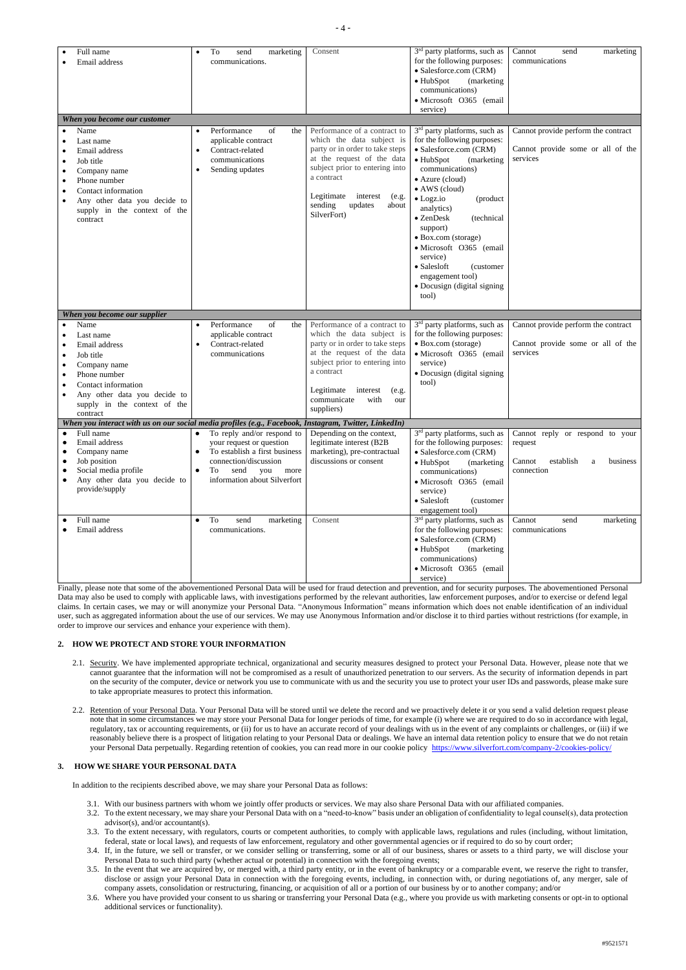|           | Full name<br>Email address                                                                                                                                                         | $\bullet$              | To<br>marketing<br>send<br>communications.                                                                                                                                    | Consent                                                                                                                                                                                                                                                   | $3rd$ party platforms, such as<br>for the following purposes:<br>· Salesforce.com (CRM)<br>• HubSpot<br>(marketing<br>communications)<br>· Microsoft O365 (email<br>service)                                                                                                                                                                                                                  | Cannot<br>send<br>marketing<br>communications                                                    |
|-----------|------------------------------------------------------------------------------------------------------------------------------------------------------------------------------------|------------------------|-------------------------------------------------------------------------------------------------------------------------------------------------------------------------------|-----------------------------------------------------------------------------------------------------------------------------------------------------------------------------------------------------------------------------------------------------------|-----------------------------------------------------------------------------------------------------------------------------------------------------------------------------------------------------------------------------------------------------------------------------------------------------------------------------------------------------------------------------------------------|--------------------------------------------------------------------------------------------------|
|           | When you become our customer<br>Name                                                                                                                                               |                        | of<br>the<br>Performance                                                                                                                                                      | Performance of a contract to                                                                                                                                                                                                                              | $3rd$ party platforms, such as                                                                                                                                                                                                                                                                                                                                                                | Cannot provide perform the contract                                                              |
|           | Last name<br>Email address<br>Job title<br>Company name<br>Phone number<br>Contact information<br>Any other data you decide to<br>supply in the context of the<br>contract         | $\bullet$<br>$\bullet$ | applicable contract<br>Contract-related<br>communications<br>Sending updates                                                                                                  | which the data subject is<br>party or in order to take steps<br>at the request of the data<br>subject prior to entering into<br>a contract<br>Legitimate<br>interest<br>(e.g.<br>sending<br>updates<br>about<br>SilverFort)                               | for the following purposes:<br>• Salesforce.com (CRM)<br>$\bullet$ HubSpot<br>(marketing)<br>communications)<br>• Azure (cloud)<br>• AWS (cloud)<br>$\bullet$ Logz.io<br>(product<br>analytics)<br>• ZenDesk<br>(technical<br>support)<br>• Box.com (storage)<br>· Microsoft O365 (email<br>service)<br>• Salesloft<br>(customer)<br>engagement tool)<br>• Docusign (digital signing<br>tool) | Cannot provide some or all of the<br>services                                                    |
|           | When you become our supplier                                                                                                                                                       |                        |                                                                                                                                                                               |                                                                                                                                                                                                                                                           |                                                                                                                                                                                                                                                                                                                                                                                               |                                                                                                  |
| $\bullet$ | Name<br>Last name<br>Email address<br>Job title<br>Company name<br>Phone number<br>Contact information<br>Any other data you decide to<br>supply in the context of the<br>contract |                        | Performance<br>of<br>the<br>applicable contract<br>Contract-related<br>communications                                                                                         | Performance of a contract to<br>which the data subject is<br>party or in order to take steps<br>at the request of the data<br>subject prior to entering into<br>a contract<br>Legitimate<br>interest<br>(e.g.<br>communicate<br>with<br>our<br>suppliers) | 3 <sup>rd</sup> party platforms, such as<br>for the following purposes:<br>• Box.com (storage)<br>· Microsoft O365 (email<br>service)<br>• Docusign (digital signing<br>tool)                                                                                                                                                                                                                 | Cannot provide perform the contract<br>Cannot provide some or all of the<br>services             |
|           | When you interact with us on our social media profiles (e.g., Facebook, Instagram, Twitter, LinkedIn)                                                                              |                        |                                                                                                                                                                               |                                                                                                                                                                                                                                                           |                                                                                                                                                                                                                                                                                                                                                                                               |                                                                                                  |
|           | Full name<br>Email address<br>Company name<br>Job position<br>Social media profile<br>Any other data you decide to<br>provide/supply                                               | $\bullet$              | To reply and/or respond to<br>your request or question<br>To establish a first business<br>connection/discussion<br>send<br>To<br>you<br>more<br>information about Silverfort | Depending on the context,<br>legitimate interest (B2B<br>marketing), pre-contractual<br>discussions or consent                                                                                                                                            | 3 <sup>rd</sup> party platforms, such as<br>for the following purposes:<br>· Salesforce.com (CRM)<br>$\bullet$ HubSpot<br>(marketing)<br>communications)<br>· Microsoft O365 (email<br>service)<br>• Salesloft<br>(customer<br>engagement tool)                                                                                                                                               | Cannot reply or respond to your<br>request<br>establish<br>Cannot<br>business<br>a<br>connection |
|           | Full name<br>Email address                                                                                                                                                         |                        | To<br>send<br>marketing<br>communications.                                                                                                                                    | Consent                                                                                                                                                                                                                                                   | 3 <sup>rd</sup> party platforms, such as<br>for the following purposes:<br>· Salesforce.com (CRM)<br>$\bullet$ HubSpot<br>(marketing)<br>communications)<br>· Microsoft O365 (email<br>service)                                                                                                                                                                                               | Cannot<br>send<br>marketing<br>communications                                                    |

- 2.1. Security. We have implemented appropriate technical, organizational and security measures designed to protect your Personal Data. However, please note that we cannot guarantee that the information will not be compromised as a result of unauthorized penetration to our servers. As the security of information depends in part on the security of the computer, device or network you use to communicate with us and the security you use to protect your user IDs and passwords, please make sure to take appropriate measures to protect this information.
- 2.2. Retention of your Personal Data. Your Personal Data will be stored until we delete the record and we proactively delete it or you send a valid deletion request please note that in some circumstances we may store your Personal Data for longer periods of time, for example (i) where we are required to do so in accordance with legal, regulatory, tax or accounting requirements, or (ii) for us to have an accurate record of your dealings with us in the event of any complaints or challenges, or (iii) if we

reasonably believe there is a prospect of litigation relating to your Personal Data or dealings. We have an internal data retention policy to ensure that we do not retain your Personal Data perpetually. Regarding retention of cookies, you can read more in our cookie policy <https://www.silverfort.com/company-2/cookies-policy/>

Finally, please note that some of the abovementioned Personal Data will be used for fraud detection and prevention, and for security purposes. The abovementioned Personal Data may also be used to comply with applicable laws, with investigations performed by the relevant authorities, law enforcement purposes, and/or to exercise or defend legal claims. In certain cases, we may or will anonymize your Personal Data. "Anonymous Information" means information which does not enable identification of an individual user, such as aggregated information about the use of our services. We may use Anonymous Information and/or disclose it to third parties without restrictions (for example, in order to improve our services and enhance your experience with them).

## **2. HOW WE PROTECT AND STORE YOUR INFORMATION**

### **3. HOW WE SHARE YOUR PERSONAL DATA**

In addition to the recipients described above, we may share your Personal Data as follows:

- 3.1. With our business partners with whom we jointly offer products or services. We may also share Personal Data with our affiliated companies.
- 3.2. To the extent necessary, we may share your Personal Data with on a "need-to-know" basis under an obligation of confidentiality to legal counsel(s), data protection advisor(s), and/or accountant(s).
- 3.3. To the extent necessary, with regulators, courts or competent authorities, to comply with applicable laws, regulations and rules (including, without limitation, federal, state or local laws), and requests of law enforcement, regulatory and other governmental agencies or if required to do so by court order;
- 3.4. If, in the future, we sell or transfer, or we consider selling or transferring, some or all of our business, shares or assets to a third party, we will disclose your Personal Data to such third party (whether actual or potential) in connection with the foregoing events;
- 3.5. In the event that we are acquired by, or merged with, a third party entity, or in the event of bankruptcy or a comparable event, we reserve the right to transfer, disclose or assign your Personal Data in connection with the foregoing events, including, in connection with, or during negotiations of, any merger, sale of company assets, consolidation or restructuring, financing, or acquisition of all or a portion of our business by or to another company; and/or
- 3.6. Where you have provided your consent to us sharing or transferring your Personal Data (e.g., where you provide us with marketing consents or opt-in to optional additional services or functionality).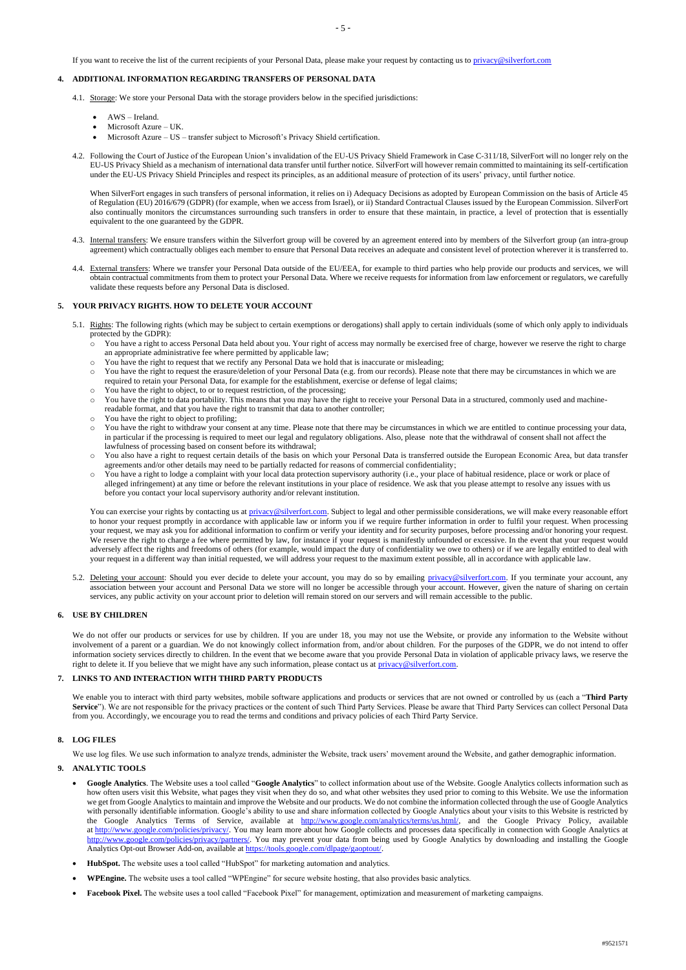If you want to receive the list of the current recipients of your Personal Data, please make your request by contacting us to [privacy@silverfort.com](mailto:privacy@silverfort.com)

# **4. ADDITIONAL INFORMATION REGARDING TRANSFERS OF PERSONAL DATA**

- 4.1. Storage: We store your Personal Data with the storage providers below in the specified jurisdictions:
	- AWS Ireland.
	- Microsoft Azure UK.
	- Microsoft Azure US transfer subject to Microsoft's Privacy Shield certification.
- 4.2. Following the Court of Justice of the European Union's invalidation of the EU-US Privacy Shield Framework in Case C-311/18, SilverFort will no longer rely on the EU-US Privacy Shield as a mechanism of international data transfer until further notice. SilverFort will however remain committed to maintaining its self-certification under the EU-US Privacy Shield Principles and respect its principles, as an additional measure of protection of its users' privacy, until further notice.

When SilverFort engages in such transfers of personal information, it relies on i) Adequacy Decisions as adopted by European Commission on the basis of Article 45 of Regulation (EU) 2016/679 (GDPR) (for example, when we access from Israel), or ii) Standard Contractual Clauses issued by the European Commission. SilverFort also continually monitors the circumstances surrounding such transfers in order to ensure that these maintain, in practice, a level of protection that is essentially equivalent to the one guaranteed by the GDPR.

- 4.3. Internal transfers: We ensure transfers within the Silverfort group will be covered by an agreement entered into by members of the Silverfort group (an intra-group agreement) which contractually obliges each member to ensure that Personal Data receives an adequate and consistent level of protection wherever it is transferred to.
- 4.4. External transfers: Where we transfer your Personal Data outside of the EU/EEA, for example to third parties who help provide our products and services, we will obtain contractual commitments from them to protect your Personal Data. Where we receive requests for information from law enforcement or regulators, we carefully validate these requests before any Personal Data is disclosed.

#### **5. YOUR PRIVACY RIGHTS. HOW TO DELETE YOUR ACCOUNT**

- 5.1. Rights: The following rights (which may be subject to certain exemptions or derogations) shall apply to certain individuals (some of which only apply to individuals protected by the GDPR):
	- o You have a right to access Personal Data held about you. Your right of access may normally be exercised free of charge, however we reserve the right to charge an appropriate administrative fee where permitted by applicable law;
	- o You have the right to request that we rectify any Personal Data we hold that is inaccurate or misleading;
	- You have the right to request the erasure/deletion of your Personal Data (e.g. from our records). Please note that there may be circumstances in which we are required to retain your Personal Data, for example for the establishment, exercise or defense of legal claims;
	- You have the right to object, to or to request restriction, of the processing;
	- o You have the right to data portability. This means that you may have the right to receive your Personal Data in a structured, commonly used and machinereadable format, and that you have the right to transmit that data to another controller;
	- o You have the right to object to profiling;
	- o You have the right to withdraw your consent at any time. Please note that there may be circumstances in which we are entitled to continue processing your data, in particular if the processing is required to meet our legal and regulatory obligations. Also, please note that the withdrawal of consent shall not affect the lawfulness of processing based on consent before its withdrawal;
	- o You also have a right to request certain details of the basis on which your Personal Data is transferred outside the European Economic Area, but data transfer agreements and/or other details may need to be partially redacted for reasons of commercial confidentiality;
	- o You have a right to lodge a complaint with your local data protection supervisory authority (i.e., your place of habitual residence, place or work or place of alleged infringement) at any time or before the relevant institutions in your place of residence. We ask that you please attempt to resolve any issues with us before you contact your local supervisory authority and/or relevant institution.

You can exercise your rights by contacting us at [privacy@silverfort.com.](mailto:privacy@silverfort.com) Subject to legal and other permissible considerations, we will make every reasonable effort to honor your request promptly in accordance with applicable law or inform you if we require further information in order to fulfil your request. When processing your request, we may ask you for additional information to confirm or verify your identity and for security purposes, before processing and/or honoring your request. We reserve the right to charge a fee where permitted by law, for instance if your request is manifestly unfounded or excessive. In the event that your request would adversely affect the rights and freedoms of others (for example, would impact the duty of confidentiality we owe to others) or if we are legally entitled to deal with your request in a different way than initial requested, we will address your request to the maximum extent possible, all in accordance with applicable law.

5.2. Deleting your account: Should you ever decide to delete your account, you may do so by emailing [privacy@silverfort.com.](mailto:privacy@silverfort.com) If you terminate your account, any association between your account and Personal Data we store will no longer be accessible through your account. However, given the nature of sharing on certain services, any public activity on your account prior to deletion will remain stored on our servers and will remain accessible to the public.

We do not offer our products or services for use by children. If you are under 18, you may not use the Website, or provide any information to the Website without involvement of a parent or a guardian. We do not knowingly collect information from, and/or about children. For the purposes of the GDPR, we do not intend to offer information society services directly to children. In the event that we become aware that you provide Personal Data in violation of applicable privacy laws, we reserve the right to delete it. If you believe that we might have any such information, please contact us at [privacy@silverfort.com.](mailto:privacy@silverfort.com)

#### **6. USE BY CHILDREN**

### **7. LINKS TO AND INTERACTION WITH THIRD PARTY PRODUCTS**

We enable you to interact with third party websites, mobile software applications and products or services that are not owned or controlled by us (each a "**Third Party**  Service"). We are not responsible for the privacy practices or the content of such Third Party Services. Please be aware that Third Party Services can collect Personal Data from you. Accordingly, we encourage you to read the terms and conditions and privacy policies of each Third Party Service.

### **8. LOG FILES**

We use log files. We use such information to analyze trends, administer the Website, track users' movement around the Website, and gather demographic information.

## **9. ANALYTIC TOOLS**

- **Google Analytics**. The Website uses a tool called "**Google Analytics**" to collect information about use of the Website. Google Analytics collects information such as how often users visit this Website, what pages they visit when they do so, and what other websites they used prior to coming to this Website. We use the information we get from Google Analytics to maintain and improve the Website and our products. We do not combine the information collected through the use of Google Analytics with personally identifiable information. Google's ability to use and share information collected by Google Analytics about your visits to this Website is restricted by the Google Analytics Terms of Service, available at [http://www.google.com/analytics/terms/us.html/,](http://www.google.com/analytics/terms/us.html/) and the Google Privacy Policy, available at [http://www.google.com/policies/privacy/.](http://www.google.com/policies/privacy/) You may learn more about how Google collects and processes data specifically in connection with Google Analytics at [http://www.google.com/policies/privacy/partners/.](http://www.google.com/policies/privacy/partners/) You may prevent your data from being used by Google Analytics by downloading and installing the Google Analytics Opt-out Browser Add-on, available a[t https://tools.google.com/dlpage/gaoptout/.](https://tools.google.com/dlpage/gaoptout/)
- **HubSpot.** The website uses a tool called "HubSpot" for marketing automation and analytics.
- **WPEngine.** The website uses a tool called "WPEngine" for secure website hosting, that also provides basic analytics.
- **Facebook Pixel.** The website uses a tool called "Facebook Pixel" for management, optimization and measurement of marketing campaigns.